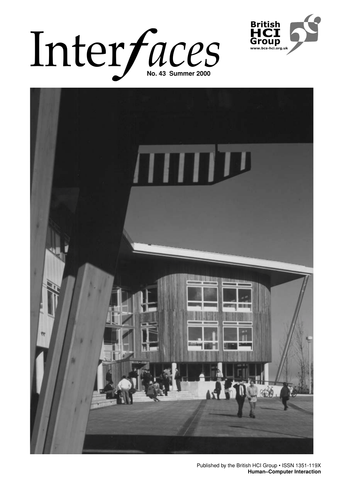# Inter*faces*





Published by the British HCI Group • ISSN 1351-119X**1 Human–Computer Interaction**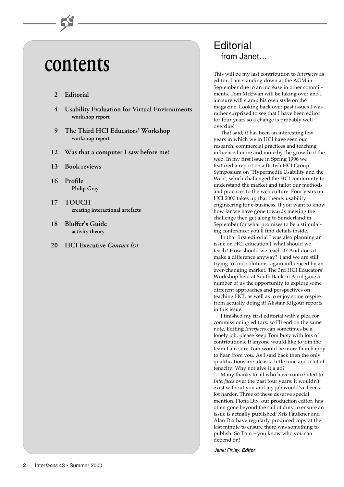# **contents**

# **2 Editorial**

- **4 Usability Evaluation for Virtual Environments workshop report**
- **9 The Third HCI Educators' Workshop workshop report**
- **12 Was that a computer I saw before me?**
- **13 Book reviews**
- **16 Profile Philip Gray**
- **17 TOUCH creating interactional artefacts**
- **18 Bluffer's Guide activity theory**
- **20 HCI Executive** *Contact list*

# **Editorial** from Janet…

This will be my last contribution to *Interfaces* as editor. I am standing down at the AGM in September due to an increase in other commitments. Tom McEwan will be taking over and I am sure will stamp his own style on the magazine. Looking back over past issues I was rather surprised to see that I have been editor for four years so a change is probably well overdue!

That said, it has been an interesting few years in which we in HCI have seen our research, commercial practices and teaching influenced more and more by the growth of the web. In my first issue in Spring 1996 we featured a report on a British HCI Group Symposium on "Hypermedia Usability and the Web", which challenged the HCI community to understand the market and tailor our methods and practices to the web culture. Four years on HCI 2000 takes up that theme: usability engineering for e-business. If you want to know how far we have gone towards meeting the challenge then get along to Sunderland in September for what promises to be a stimulating conference: you'll find details inside.

In that first editorial I was also planning an issue on HCI education ("what should we teach? How should we teach it? And does it make a difference anyway?") and we are still trying to find solutions, again influenced by an ever-changing market. The 3rd HCI Educators' Workshop held at South Bank in April gave a number of us the opportunity to explore some different approaches and perspectives on teaching HCI, as well as to enjoy some respite from actually doing it! Alistair Kilgour reports in this issue.

I finished my first editorial with a plea for commissioning editors: so I'll end on the same note. Editing *Interfaces* can sometimes be a lonely job: please keep Tom busy with lots of contributions. If anyone would like to join the team I am sure Tom would be more than happy to hear from you. As I said back then the only qualifications are ideas, a little time and a lot of tenacity! Why not give it a go?

Many thanks to all who have contributed to *Interfaces* over the past four years: it wouldn't exist without you and my job would've been a lot harder. Three of these deserve special mention. Fiona Dix, our production editor, has often gone beyond the call of duty to ensure an issue is actually published; Xris Faulkner and Alan Dix have regularly produced copy at the last minute to ensure there was something to publish! So Tom – you know who you can depend on!

Janet Finlay, **Editor**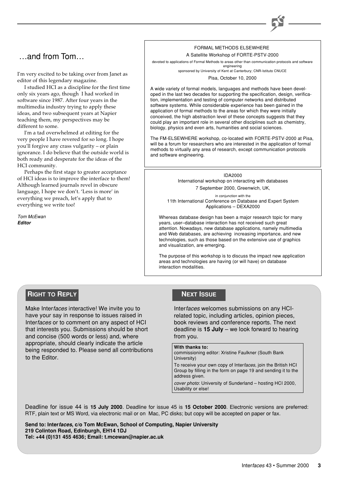# …and from Tom…

I'm very excited to be taking over from Janet as editor of this legendary magazine.

I studied HCI as a discipline for the first time only six years ago, though I had worked in software since 1987. After four years in the multimedia industry trying to apply these ideas, and two subsequent years at Napier teaching them, my perspectives may be different to some.

I'm a tad overwhelmed at editing for the very people I have revered for so long. I hope you'll forgive any crass vulgarity – or plain ignorance. I do believe that the outside world is both ready and desperate for the ideas of the HCI community.

Perhaps the first stage to greater acceptance of HCI ideas is to improve the interface to them! Although learned journals revel in obscure language, I hope we don't. 'Less is more' in everything we preach, let's apply that to everything we write too!

**Tom McEwan Editor**

# FORMAL METHODS ELSEWHERE

A Satellite Workshop of FORTE-PSTV-2000

devoted to applications of Formal Methods to areas other than communication protocols and software engineering

sponsored by University of Kent at Canterbury; CNR-Istituto CNUCE

Pisa, October 10, 2000

A wide variety of formal models, languages and methods have been developed in the last two decades for supporting the specification, design, verification, implementation and testing of computer networks and distributed software systems. While considerable experience has been gained in the application of formal methods to the areas for which they were initially conceived, the high abstraction level of these concepts suggests that they could play an important role in several other disciplines such as chemistry, biology, physics and even arts, humanities and social sciences.

The FM-ELSEWHERE workshop, co-located with FORTE-PSTV-2000 at Pisa, will be a forum for researchers who are interested in the application of formal methods to virtually any area of research, except communication protocols and software engineering.

> IDA2000 International workshop on interacting with databases 7 September 2000, Greenwich, UK,

in conjunction with the 11th International Conference on Database and Expert System Applications – DEXA2000

Whereas database design has been a major research topic for many years, user–database interaction has not received such great attention. Nowadays, new database applications, namely multimedia and Web databases, are achieving increasing importance, and new technologies, such as those based on the extensive use of graphics and visualization, are emerging.

The purpose of this workshop is to discuss the impact new application areas and technologies are having (or will have) on database interaction modalities.

# **RIGHT TO REPLY**

Make Interfaces interactive! We invite you to have your say in response to issues raised in Interfaces or to comment on any aspect of HCI that interests you. Submissions should be short and concise (500 words or less) and, where appropriate, should clearly indicate the article being responded to. Please send all contributions to the Editor.

# **NEXT ISSUE**

Interfaces welcomes submissions on any HCIrelated topic, including articles, opinion pieces, book reviews and conference reports. The next deadline is **15 July** – we look forward to hearing from you.

# **With thanks to:**

commissioning editor: Xristine Faulkner (South Bank University)

To receive your own copy of Interfaces, join the British HCI Group by filling in the form on page 19 and sending it to the address given.

cover photo: University of Sunderland – hosting HCI 2000, Usability or else!

Deadline for issue 44 is **15 July 2000**. Deadline for issue 45 is **15 October 2000**. Electronic versions are preferred: RTF, plain text or MS Word, via electronic mail or on Mac, PC disks; but copy will be accepted on paper or fax.

**Send to: Interfaces, c/o Tom McEwan, School of Computing, Napier University 219 Colinton Road, Edinburgh, EH14 1DJ Tel: +44 (0)131 455 4636; Email: t.mcewan@napier.ac.uk**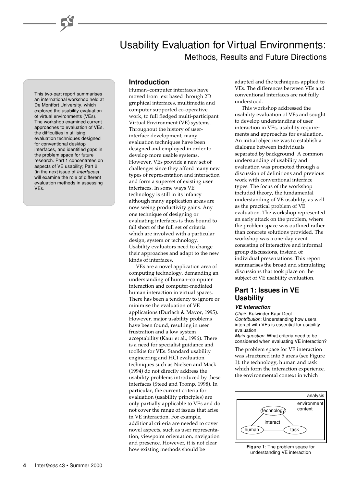This two-part report summarises an international workshop held at De Montfort University, which explored the usability evaluation of virtual environments (VEs). The workshop examined current approaches to evaluation of VEs, the difficulties in utilising evaluation techniques designed for conventional desktop interfaces, and identified gaps in the problem space for future research. Part 1 concentrates on aspects of VE usability; Part 2 (in the next issue of Interfaces) will examine the role of different evaluation methods in assessing VEs.

# **Introduction**

Human–computer interfaces have moved from text based through 2D graphical interfaces, multimedia and computer supported co-operative work, to full fledged multi-participant Virtual Environment (VE) systems. Throughout the history of userinterface development, many evaluation techniques have been designed and employed in order to develop more usable systems. However, VEs provide a new set of challenges since they afford many new types of representation and interaction and form a superset of existing user interfaces. In some ways VE technology is still in its infancy although many application areas are now seeing productivity gains. Any one technique of designing or evaluating interfaces is thus bound to fall short of the full set of criteria which are involved with a particular design, system or technology. Usability evaluators need to change their approaches and adapt to the new kinds of interfaces.

VEs are a novel application area of computing technology, demanding an understanding of human–computer interaction and computer-mediated human interaction in virtual spaces. There has been a tendency to ignore or minimise the evaluation of VE applications (Durlach & Mavor, 1995). However, major usability problems have been found, resulting in user frustration and a low system acceptability (Kaur et al., 1996). There is a need for specialist guidance and toolkits for VEs. Standard usability engineering and HCI evaluation techniques such as Nielsen and Mack (1994) do not directly address the usability problems introduced by these interfaces (Steed and Tromp, 1998). In particular, the current criteria for evaluation (usability principles) are only partially applicable to VEs and do not cover the range of issues that arise in VE interaction. For example, additional criteria are needed to cover novel aspects, such as user representation, viewpoint orientation, navigation and presence. However, it is not clear how existing methods should be

adapted and the techniques applied to VEs. The differences between VEs and conventional interfaces are not fully understood.

Methods, Results and Future Directions

Usability Evaluation for Virtual Environments:

This workshop addressed the usability evaluation of VEs and sought to develop understanding of user interaction in VEs, usability requirements and approaches for evaluation. An initial objective was to establish a dialogue between individuals separated by background. A common understanding of usability and evaluation was promoted through a discussion of definitions and previous work with conventional interface types. The focus of the workshop included theory, the fundamental understanding of VE usability, as well as the practical problem of VE evaluation. The workshop represented an early attack on the problem, where the problem space was outlined rather than concrete solutions provided. The workshop was a one-day event consisting of interactive and informal group discussions, instead of individual presentations. This report summarises the broad and stimulating discussions that took place on the subject of VE usability evaluation.

# **Part 1: Issues in VE Usability**

#### **VE interaction**

Chair: Kulwinder Kaur Deol Contribution: Understanding how users interact with VEs is essential for usability evaluation.

Main question: What criteria need to be considered when evaluating VE interaction?

The problem space for VE interaction was structured into 5 areas (see Figure 1): the technology, human and task which form the interaction experience, the environmental context in which



**Figure 1**: The problem space for understanding VE interaction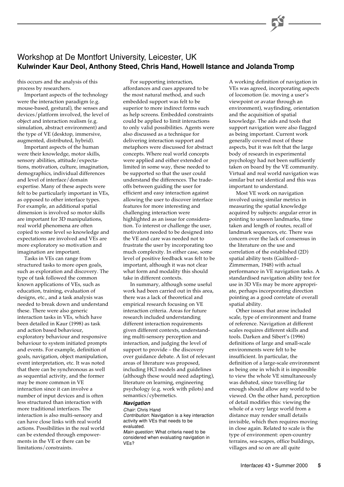# Workshop at De Montfort University, Leicester, UK **Kulwinder Kaur Deol, Anthony Steed, Chris Hand, Howell Istance and Jolanda Tromp**

this occurs and the analysis of this process by researchers.

Important aspects of the technology were the interaction paradigm (e.g. mouse-based, gestural), the senses and devices/platform involved, the level of object and interaction realism (e.g. simulation, abstract environment) and the type of VE (desktop, immersive, augmented, distributed, hybrid).

Important aspects of the human were their knowledge, motor skills, sensory abilities, attitude/expectations, motivation, culture, imagination, demographics, individual differences and level of interface/domain expertise. Many of these aspects were felt to be particularly important in VEs, as opposed to other interface types. For example, an additional spatial dimension is involved so motor skills are important for 3D manipulations, real world phenomena are often copied to some level so knowledge and expectations are involved and VEs are more exploratory so motivation and imagination are important.

Tasks in VEs can range from structured tasks to more open goals, such as exploration and discovery. The type of task followed the common known applications of VEs, such as education, training, evaluation of designs, etc., and a task analysis was needed to break down and understand these. There were also generic interaction tasks in VEs, which have been detailed in Kaur (1998) as task and action based behaviour, exploratory behaviour and responsive behaviour to system initiated prompts and events. For example, definition of goals, navigation, object manipulation, event interpretation, etc. It was noted that there can be synchronous as well as sequential activity, and the former may be more common in VE interaction since it can involve a number of input devices and is often less structured than interaction with more traditional interfaces. The interaction is also multi-sensory and can have close links with real world actions. Possibilities in the real world can be extended through empowerments in the VE or there can be limitations/constraints.

For supporting interaction, affordances and cues appeared to be the most natural method, and such embedded support was felt to be superior to more indirect forms such as help screens. Embedded constraints could be applied to limit interactions to only valid possibilities. Agents were also discussed as a technique for delivering interaction support and metaphors were discussed for abstract concepts. Where real world concepts were applied and either extended or limited in some way, these needed to be supported so that the user could understand the differences. The tradeoffs between guiding the user for efficient and easy interaction against allowing the user to discover interface features for more interesting and challenging interaction were highlighted as an issue for consideration. To interest or challenge the user, motivators needed to be designed into the VE and care was needed not to frustrate the user by incorporating too much complexity. In either case, some level of positive feedback was felt to be important, although it was not clear what form and modality this should take in different contexts.

In summary, although some useful work had been carried out in this area, there was a lack of theoretical and empirical research focusing on VE interaction criteria. Areas for future research included understanding different interaction requirements given different contexts, understanding multi-sensory perception and interaction, and judging the level of support to provide – the discovery over guidance debate. A list of relevant areas of literature was proposed, including HCI models and guidelines (although these would need adapting), literature on learning, engineering psychology (e.g. work with pilots) and semantics/cybernetics.

# **Navigation**

Chair: Chris Hand Contribution: Navigation is a key interaction activity with VEs that needs to be evaluated.

Main question: What criteria need to be considered when evaluating navigation in VEs?

A working definition of navigation in VEs was agreed, incorporating aspects of locomotion (ie. moving a user's viewpoint or avatar through an environment), wayfinding, orientation and the acquisition of spatial knowledge. The aids and tools that support navigation were also flagged as being important. Current work generally covered most of these aspects, but it was felt that the large body of research in experimental psychology had not been sufficiently taken on board by the VE community. Virtual and real world navigation was similar but not identical and this was important to understand.

Most VE work on navigation involved using similar metrics in measuring the spatial knowledge acquired by subjects: angular error in pointing to unseen landmarks, time taken and length of routes, recall of landmark sequences, etc. There was concern over the lack of consensus in the literature on the use and correlation of the established (2D) spatial ability tests (Guilford– Zimmerman, 1948) with actual performance in VE navigation tasks. A standardised navigation ability test for use in 3D VEs may be more appropriate, perhaps incorporating direction pointing as a good correlate of overall spatial ability.

Other issues that arose included scale, type of environment and frame of reference. Navigation at different scales requires different skills and tools. Darken and Sibert's (1996) definitions of large and small-scale environments were felt to be insufficient. In particular, the definition of a large-scale environment as being one in which it is impossible to view the whole VE simultaneously was debated, since travelling far enough should allow any world to be viewed. On the other hand, perception of detail modifies this: viewing the whole of a very large world from a distance may render small details invisible, which then requires moving in close again. Related to scale is the type of environment: open-country terrains, sea-scapes, office buildings, villages and so on are all quite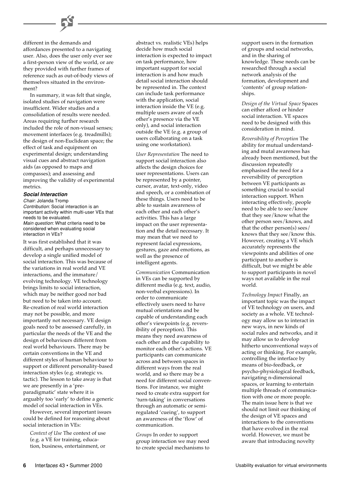

In summary, it was felt that single, isolated studies of navigation were insufficient. Wider studies and a consolidation of results were needed. Areas requiring further research included the role of non-visual senses; movement interfaces (e.g. treadmills); the design of non-Euclidean space; the effect of task and equipment on experimental design; understanding visual cues and abstract navigation aids (as opposed to maps and compasses); and assessing and improving the validity of experimental metrics.

#### **Social Interaction**

Chair: Jolanda Tromp Contribution: Social interaction is an important activity within multi-user VEs that needs to be evaluated. Main question: What criteria need to be considered when evaluating social interaction in VEs?

It was first established that it was difficult, and perhaps unnecessary to develop a single unified model of social interaction. This was because of the variations in real world and VE interactions, and the immature/ evolving technology. VE technology brings limits to social interaction, which may be neither good nor bad but need to be taken into account. Re-creation of real world interaction may not be possible, and more importantly not necessary. VE design goals need to be assessed carefully, in particular the needs of the VE and the design of behaviours different from real world behaviours. There may be certain conventions in the VE and different styles of human behaviour to support or different personality-based interaction styles (e.g. strategic vs. tactic). The lesson to take away is that we are presently in a 'preparadigmatic' state where it is arguably too 'early' to define a generic model of social interaction in VEs.

However, several important issues could be defined for reasoning about social interaction in VEs:

*Context of Use* The context of use (e.g. a VE for training, education, business, entertainment, or

abstract vs. realistic VEs) helps decide how much social interaction is expected to impact on task performance, how important support for social interaction is and how much detail social interaction should be represented in. The context can include task performance with the application, social interaction inside the VE (e.g. multiple users aware of each other's presence via the VE only), and social interaction outside the VE (e.g. a group of users collaborating on a task using one workstation).

*User Representation* The need to support social interaction also affects the design choices for user representations. Users can be represented by a pointer, cursor, avatar, text-only, video and speech, or a combination of these things. Users need to be able to sustain awareness of each other and each other's activities. This has a large impact on the user representation and the detail necessary. It may mean that we need to represent facial expressions, gestures, gaze and emotions, as well as the presence of intelligent agents.

*Communication* Communication in VEs can be supported by different media (e.g. text, audio, non-verbal expressions). In order to communicate effectively users need to have mutual orientations and be capable of understanding each other's viewpoints (e.g. reversibility of perception). This means they need awareness of each other and the capability to monitor each other's actions. VE participants can communicate across and between spaces in different ways from the real world, and so there may be a need for different social conventions. For instance, we might need to create extra support for 'turn-taking' in conversations through an automatic or semiregulated 'cueing', to support an awareness of the 'flow' of communication.

*Groups* In order to support group interaction we may need to create special mechanisms to support users in the formation of groups and social networks, and in the sharing of knowledge. These needs can be researched through a social network analysis of the formation, development and 'contents' of group relationships.

*Design of the Virtual Space* Spaces can either afford or hinder social interaction. VE spaces need to be designed with this consideration in mind.

*Reversibility of Perception* The ability for mutual understanding and mutal awareness has already been mentioned, but the discussion repeatedly emphasised the need for a reversibility of perception between VE participants as something crucial to social interaction support. When interacting effectively, people need to be able to see/know that they see/know what the other person sees/knows, and that the other person(s) sees/ knows that they see/know this. However, creating a VE which accurately represents the viewpoints and abilities of one participant to another is difficult, but we might be able to support participants in novel ways not available in the real world.

*Technology Impact* Finally, an important topic was the impact of VE technology on users, and society as a whole. VE technology may allow us to interact in new ways, in new kinds of social rules and networks, and it may allow us to develop hitherto unconventional ways of acting or thinking. For example, controlling the interface by means of bio-feedback, or psycho-physiological feedback, navigating n-dimensional spaces, or learning to entertain multiple threads of communication with one or more people. The main issue here is that we should not limit our thinking of the design of VE spaces and interactions to the conventions that have evolved in the real world. However, we must be aware that introducing novelty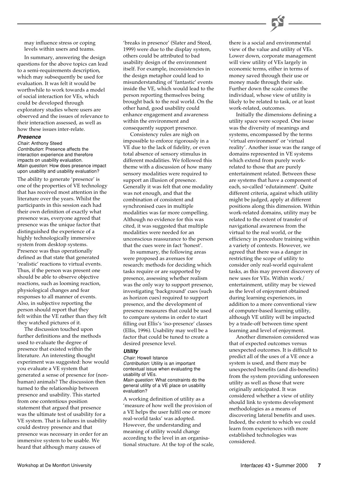

may influence stress or coping levels within users and teams.

In summary, answering the design questions for the above topics can lead to a semi-requirements description, which may subsequently be used for evaluation. It was felt it would be worthwhile to work towards a model of social interaction for VEs, which could be developed through exploratory studies where users are observed and the issues of relevance to their interaction assessed, as well as how these issues inter-relate.

# **Presence**

Chair: Anthony Steed

Contribution: Presence affects the interaction experience and therefore impacts on usability evaluation. Main question: How does presence impact upon usability and usability evaluation?

The ability to generate 'presence' is one of the properties of VE technology that has received most attention in the literature over the years. Whilst the participants in this session each had their own definition of exactly what presence was, everyone agreed that presence was the unique factor that distinguished the experience of a highly technologically immersive system from desktop systems. Presence was thus operationally defined as that state that generated 'realistic' reactions to virtual events. Thus, if the person was present one should be able to observe objective reactions, such as looming reaction, physiological changes and fear responses to all manner of events. Also, in subjective reporting the person should report that they felt within the VE rather than they felt they watched pictures of it.

The discussion touched upon further definitions and the methods used to evaluate the degree of presence that existed within the literature. An interesting thought experiment was suggested: how would you evaluate a VE system that generated a sense of presence for (nonhuman) animals? The discussion then turned to the relationship between presence and usability. This started from one contentious position statement that argued that presence was the ultimate test of usability for a VE system. That is failures in usability could destroy presence and that presence was necessary in order for an immersive system to be usable. We heard that although many causes of

'breaks in presence' (Slater and Steed, 1999) were due to the display system, others could be attributed to bad usability design of the environment itself. For example, inconsistencies in the design metaphor could lead to misunderstanding of 'fantastic' events inside the VE, which would lead to the person reporting themselves being brought back to the real world. On the other hand, good usability could enhance engagement and awareness within the environment and consequently support presence.

Consistency rules are nigh on impossible to enforce rigorously in a VE due to the lack of fidelity, or even total absence of sensory stimulus in different modalities. We followed this theme with a discussion of how many sensory modalities were required to support an illusion of presence. Generally it was felt that one modality was not enough, and that the combination of consistent and synchronised cues in multiple modalities was far more compelling. Although no evidence for this was cited, it was suggested that multiple modalities were needed for an unconscious reassurance to the person that the cues were in fact 'honest'.

In summary, the following areas were proposed as avenues for research: methods for deciding which tasks require or are supported by presence, assessing whether realism was the only way to support presence, investigating 'background' cues (such as horizon cues) required to support presence, and the development of presence measures that could be used to compare systems in order to start filling out Ellis's 'iso-presence' classes (Ellis, 1996). Usability may well be a factor that could be tuned to create a desired presence level.

## **Utility**

Chair: Howell Istance Contribution: Utility is an important contextual issue when evaluating the usability of VEs. Main question: What constraints do the

general utility of a VE place on usability evaluation?

A working definition of utility as a 'measure of how well the provision of a VE helps the user fulfil one or more real-world tasks' was adopted. However, the understanding and meaning of utility would change according to the level in an organisational structure. At the top of the scale,

there is a social and environmental view of the value and utility of VEs. Lower down, corporate management will view utility of VEs largely in economic terms, either in terms of money saved through their use or money made through their sale. Further down the scale comes the individual, whose view of utility is likely to be related to task, or at least work-related, outcomes.

Initially the dimensions defining a utility space were scoped. One issue was the diversity of meanings and systems, encompassed by the terms 'virtual environment' or 'virtual reality'. Another issue was the range of domains represented in VE systems which extend from purely workrelated to those that are purely entertainment related. Between these are systems that have a component of each, so-called 'edutainment'. Quite different criteria, against which utility might be judged, apply at different positions along this dimension. Within work-related domains, utility may be related to the extent of transfer of navigational awareness from the virtual to the real world, or the efficiency in procedure training within a variety of contexts. However, we agreed that there was a danger in restricting the scope of utility to consider only real-world equivalent tasks, as this may prevent discovery of new uses for VEs. Within work/ entertainment, utility may be viewed as the level of enjoyment obtained during learning experiences, in addition to a more conventional view of computer-based learning utility, although VE utility will be impacted by a trade-off between time spent learning and level of enjoyment.

Another dimension considered was that of expected outcomes versus unexpected outcomes. It is difficult to predict all of the uses of a VE once a system is used, and there may be unexpected benefits (and dis-benefits) from the system providing unforeseen utility as well as those that were originally anticipated. It was considered whether a view of utility should link to systems development methodologies as a means of discovering lateral benefits and uses. Indeed, the extent to which we could learn from experiences with more established technologies was considered.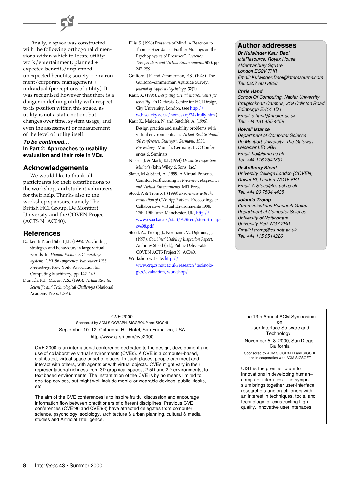

# **To be continued… In Part 2: Approaches to usability evaluation and their role in VEs.**

# **Acknowledgements**

We would like to thank all participants for their contributions to the workshop, and student volunteers for their help. Thanks also to the workshop sponsors, namely The British HCI Group, De Montfort University and the COVEN Project (ACTS N. AC040).

# **References**

- Darken R.P. and Sibert J.L. (1996). Wayfinding strategies and behaviours in large virtual worlds. In: *Human Factors in Computing Systems: CHI '96 conference, Vancouver 1996. Proceedings*. New York: Association for Computing Machinery, pp. 142–149.
- Durlach, N.I., Mavor, A.S., (1995). *Virtual Reality: Scientific and Technological Challenges* (National Academy Press, USA).
- Ellis, S. (1996) Presence of Mind: A Reaction to Thomas Sheridan's "Further Musings on the Psychophysics of Presence". *Presence-Teleoperators and Virtual Environments*, **5**(2), pp 247–259.
- Guilford, J.P. and Zimmerman, E.S., (1948). The Guilford–Zimmerman Aptitude Survey. *Journal of Applied Psychology*, **32**(1).
- Kaur, K. (1998). *Designing virtual environments for usability*. Ph.D. thesis. Centre for HCI Design, City University, London. (see http:// [web.soi.city.ac.uk/homes/dj524/kully.html\)](http://web.soi.city.ac.uk/homes/dj524/kully.html)
- Kaur K., Maiden, N. and Sutcliffe, A. (1996). Design practice and usability problems with virtual environments. In: *Virtual Reality World '96 conference, Stuttgart, Germany, 1996. Proceedings*. Munich, Germany: IDG Conferences & Seminars.
- Nielsen J. & Mack, R.L (1994) *Usability Inspection Methods* (John Wiley & Sons, Inc.)
- Slater, M & Steed, A. (1999) A Virtual Presence Counter. Forthcoming in *Presence-Teleoperators and Virtual Environments*, MIT Press.
- Steed, A & Tromp, J. (1998) *Experiences with the Evaluation of CVE Applications*. Proceedings of Collaborative Virtual Environments 1998, 17th–19th June, Manchester, UK, http:// [www.cs.ucl.ac.uk/staff/A.Steed/steed-tromp](http://www.cs.ucl.ac.uk/staff/A.Steed/steed-tromp-cve98.pdf)cve98.pdf
- Steed, A., Tromp, J., Normand, V., Dijkhuis, J., (1997). *Combined Usability Inspection Report*, Anthony Steed (ed.), Public Deliverable COVEN ACTS Project N. AC040.

Workshop website: http:// [www.crg.cs.nott.ac.uk/research/technolo](http://www.crg.cs.nott.ac.uk/research/technologies/evaluation/workshop/)gies/evaluation/workshop/

# **Author addresses**

# **Dr Kulwinder Kaur Deol**

InteResource, Royex House Aldermanbury Square London EC2V 7HR Email: Kulwinder.Deol@interesource.com Tel: 0207 600 8820

## **Chris Hand**

School Of Computing, Napier University Craiglockhart Campus, 219 Colinton Road Edinburgh EH14 1DJ Email: c.hand@napier.ac.uk Tel: +44 131 455 4459

#### **Howell Istance**

Department of Computer Science De Montfort University, The Gateway Leicester LE1 9BH Email: hoi@dmu.ac.uk Tel: +44 116 2541891

# **Dr Anthony Steed**

University College London (COVEN) Gower St, London WC1E 6BT Email: A.Steed@cs.ucl.ac.uk Tel: +44 20 7504 4435

# **Jolanda Tromp**

Communications Research Group Department of Computer Science University of Nottingham University Park NG7 2RD Email: j.tromp@cs.nott.ac.uk Tel: +44 115 9514226

# CVE 2000

Sponsored by ACM SIGGRAPH, SIGGROUP and SIGCHI September 10–12, Cathedral Hill Hotel, San Francisco, USA http://www.ai.sri.com/cve2000

CVE 2000 is an international conference dedicated to the design, development and use of collaborative virtual environments (CVEs). A CVE is a computer-based, distributed, virtual space or set of places. In such places, people can meet and interact with others, with agents or with virtual objects. CVEs might vary in their representational richness from 3D graphical spaces, 2.5D and 2D environments, to text based environments. The instantiation of the CVE is by no means limited to desktop devices, but might well include mobile or wearable devices, public kiosks, etc.

The aim of the CVE conferences is to inspire fruitful discussion and encourage information flow between practitioners of different disciplines. Previous CVE conferences (CVE'96 and CVE'98) have attracted delegates from computer science, psychology, sociology, architecture & urban planning, cultural & media studies and Artificial Intelligence.

# The 13th Annual ACM Symposium

on User Interface Software and Technology November 5–8, 2000, San Diego, California

Sponsored by ACM SIGGRAPH and SIGCHI and in cooperation with ACM SIGSOFT

UIST is the premier forum for innovations in developing human– computer interfaces. The symposium brings together user-interface researchers and practitioners with an interest in techniques, tools, and technology for constructing highquality, innovative user interfaces.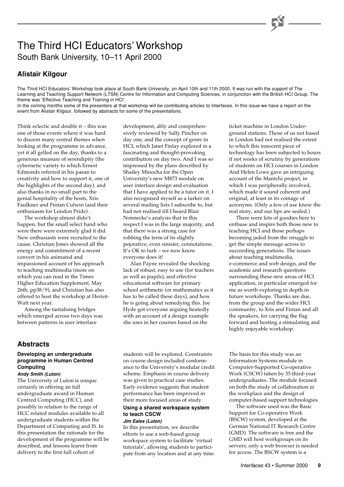# The Third HCI Educators' Workshop South Bank University, 10–11 April 2000

# **Alistair Kilgour**

The Third HCI Educators' Workshop took place at South Bank University, on April 10th and 11th 2000. It was run with the support of The Learning and Teaching Support Network (LTSN) Centre for Information and Computing Sciences, in conjunction with the British HCI Group. The theme was 'Effective Teaching and Training in HCI'.

In the coming months some of the presenters at that workshop will be contributing articles to Interfaces. In this issue we have a report on the event from Alistair Kilgour, followed by abstracts for some of the presentations.

Think eclectic and double it – this was one of those events where it was hard to discern many central themes when looking at the programme in advance, yet it all gelled on the day, thanks to a generous measure of serendipity (the cybernetic variety to which Ernest Edmonds referred in his paean to creativity and how to support it, one of the highlights of the second day), and also thanks in no small part to the genial hospitality of the hosts, Xris Faulkner and Fintan Culwin (and their enthusiasm for London Pride) .

The workshop almost didn't happen, but the small select band who were there were extremely glad it did. New enthusiasts were recruited to the cause. Christian Jones showed all the energy and commitment of a recent convert in his animated and impassioned account of his approach to teaching multimedia (more on which you can read in the Times Higher Education Supplement, May 26th, pp38/9), and Christian has also offered to host the workshop at Heriot-Watt next year.

Among the tantalising bridges which emerged across two days was between patterns in user interface

# **Abstracts**

# **Developing an undergraduate programme in Human Centred Computing**

**Andy Smith (Luton)**

The University of Luton is unique certainly in offering an full undergraduate award in Human Centred Computing (HCC), and possibly in relation to the range of HCC related modules available to all undergraduate students within the Department of Computing and IS. In this presentation the rationale for the development of the programme will be described, and lessons learnt from delivery to the first full cohort of

development, ably and comprehensively reviewed by Sally Pincher on day one, and the concept of genre in HCI, which Janet Finlay explored in a fascinating and thought-provoking contribution on day two. And I was so impressed by the plans described by Shailey Minocha for the Open University's new M873 module on user interface design and evaluation that I have applied to be a tutor on it. I also recognised myself as a lurker on several mailing lists I subscribe to, but had not realised till I heard Blair Nonnecke's analysis that in this respect I was in the large majority, and that there was a strong case for robbing the term of its slightly pejorative, even sinister, connotations. It's OK to lurk – we now know everyone does it!

Alan Payne revealed the shocking lack of robust, easy to use (for teachers as well as pupils), and effective educational software for primary school arithmetic (or mathematics as it has to be called these days), and how he is going about remedying this. Joe Hyde got everyone arguing heatedly with an account of a design example she uses in her courses based on the

students will be explored. Constraints on course design included conformance to the University's modular credit scheme. Emphasis in course delivery was given to practical case studies. Early evidence suggests that student performance has been improved in their more focused areas of study.

# **Using a shared workspace system to teach CSCW**

#### **Jim Eales (Luton)** In this presentation, we describe

efforts to use a web-based group workspace system to facilitate 'virtual tutorials', allowing students to participate from any location and at any time. ticket machine in London Underground stations. Those of us not based in London had not realised the extent to which this innocent piece of technology has been subjected to hours if not weeks of scrutiny by generations of students on HCI courses in London. And Helen Lowe gave an intriguing account of the Mantchi project, in which I was peripherally involved, which made it sound coherent and original, at least in its coinage of acronyms. (Only a few of use know the real story, and our lips are sealed.)

There were lots of goodies here to enthuse and inspire both those new to teaching HCI and those perhaps becoming jaded from the struggle to get the simple message across to succeeding generations. The issues about teaching multimedia, e-commerce and web design, and the academic and research questions surrounding these new areas of HCI application, in particular emerged for me as worth exploring in depth in future workshops. Thanks are due, from the group and the wider HCI community, to Xris and Fintan and all the speakers, for carrying the flag forward and hosting a stimulating and highly enjoyable workshop.

The basis for this study was an Information Systems module in Computer-Supported Co-operative Work (CSCW) taken by 35 third-year undergraduates. The module focused on both the study of collaboration in the workplace and the design of computer-based support technologies.

The software used was the Basic Support for Co-operative Work (BSCW) system, developed at the German National IT Research Centre (GMD). The software is free and the GMD will host workgroups on its servers; only a web browser is needed for access. The BSCW system is a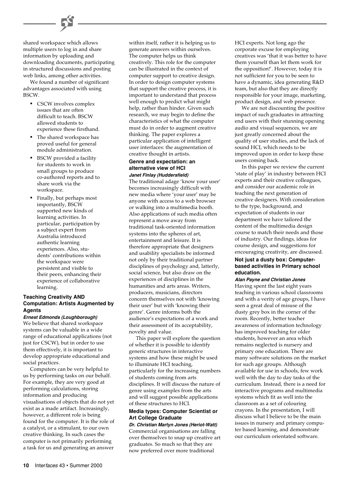shared workspace which allows multiple users to log in and share information by uploading and downloading documents, participating in structured discussions and posting web links, among other activities.

We found a number of significant advantages associated with using BSCW.

- CSCW involves complex issues that are often difficult to teach. BSCW allowed students to experience these firsthand.
- The shared workspace has proved useful for general module administration.
- BSCW provided a facility for students to work in small groups to produce co-authored reports and to share work via the workspace.
- Finally, but perhaps most importantly, BSCW supported new kinds of learning activities. In particular, participation by a subject expert from Australia introduced authentic learning experiences. Also, students' contributions within the workspace were persistent and visible to their peers, enhancing their experience of collaborative learning.

# **Teaching Creativity AND Computation: Artists Augmented by Agents**

#### **Ernest Edmonds (Loughborough)**

We believe that shared workspace systems can be valuable in a wide range of educational applications (not just for CSCW), but in order to use them effectively, it is important to develop appropriate educational and social practices.

Computers can be very helpful to us by performing tasks on our behalf. For example, they are very good at performing calculations, storing information and producing visualisations of objects that do not yet exist as a made artifact. Increasingly, however, a different role is being found for the computer. It is the role of a catalyst, or a stimulant, to our own creative thinking. In such cases the computer is not primarily performing a task for us and generating an answer

within itself, rather it is helping us to generate answers within ourselves. The computer helps us think creatively. This role for the computer can be illustrated in the context of computer support to creative design. In order to design computer systems that support the creative process, it is important to understand that process well enough to predict what might help, rather than hinder. Given such research, we may begin to define the characteristics of what the computer must do in order to augment creative thinking. The paper explores a particular application of intelligent user interfaces: the augmentation of creative thought in artists.

# **Genre and expectation: an alternative view of HCI Janet Finlay (Huddersfield)**

The traditional adage 'know your user' becomes increasingly difficult with new media where 'your user' may be anyone with access to a web browser or walking into a multimedia booth. Also applications of such media often represent a move away from traditional task-oriented information systems into the spheres of art, entertainment and leisure. It is therefore appropriate that designers and usability specialists be informed not only by their traditional partner disciplines of psychology and, latterly, social science, but also draw on the experiences of disciplines in the humanities and arts areas. Writers, producers, musicians, directors concern themselves not with 'knowing their user' but with 'knowing their genre'. Genre informs both the audience's expectations of a work and their assessment of its acceptability, novelty and value.

This paper will explore the question of whether it is possible to identify generic structures in interactive systems and how these might be used to illuminate HCI teaching, particularly for the increasing numbers of students coming from arts disciplines. It will discuss the nature of genre using examples from the arts and will suggest possible applications of these structures to HCI.

# **Media types: Computer Scientist or Art College Graduate**

**Dr. Christian Martyn Jones (Heriot-Watt)** Commercial organisations are falling over themselves to snap up creative art graduates. So much so that they are now preferred over more traditional

HCI experts. Not long ago the corporate excuse for employing creatives was 'that it was better to have them yourself than let them work for the opposition!'. However, today it is not sufficient for you to be seen to have a dynamic, idea generating R&D team, but also that they are directly responsible for your image, marketing, product design, and web presence.

We are not discounting the positive impact of such graduates in attracting end users with their stunning opening audio and visual sequences, we are just greatly concerned about the quality of user studies, and the lack of sound HCI, which needs to be improved upon in order to keep these users coming back.

In this paper we review the current 'state of play' in industry between HCI experts and their creative colleagues, and consider our academic role in teaching the next generation of creative designers. With consideration to the type, background, and expectation of students in our department we have tailored the content of the multimedia design course to match their needs and those of industry. Our findings, ideas for course design, and suggestions for encouraging creativity, are discussed.

# **Not just a dusty box: Computerbased activities in Primary school education.**

# **Alan Payne and Christian Jones**

Having spent the last eight years teaching in various school classrooms and with a verity of age groups, I have seen a great deal of misuse of the dusty grey box in the corner of the room. Recently, better teacher awareness of information technology has improved teaching for older students, however an area which remains neglected is nursery and primary one education. There are many software solutions on the market for such age groups. Although available for use in schools, few work well with the day to day tasks of the curriculum. Instead, there is a need for interactive programs and multimedia systems which fit as well into the classroom as a set of colouring crayons. In the presentation, I will discuss what I believe to be the main issues in nursery and primary computer based learning, and demonstrate our curriculum orientated software.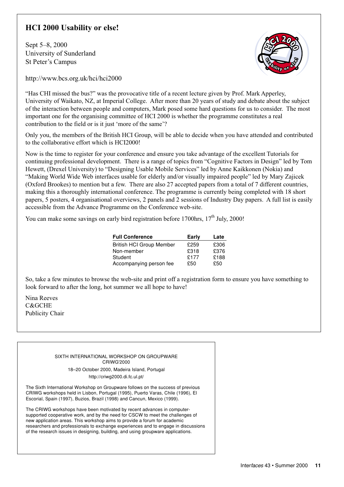# **HCI 2000 Usability or else!**

Sept 5–8, 2000 University of Sunderland St Peter's Campus



http://www.bcs.org.uk/hci/hci2000

"Has CHI missed the bus?" was the provocative title of a recent lecture given by Prof. Mark Apperley, University of Waikato, NZ, at Imperial College. After more than 20 years of study and debate about the subject of the interaction between people and computers, Mark posed some hard questions for us to consider. The most important one for the organising committee of HCI 2000 is whether the programme constitutes a real contribution to the field or is it just 'more of the same'?

Only you, the members of the British HCI Group, will be able to decide when you have attended and contributed to the collaborative effort which is HCI2000!

Now is the time to register for your conference and ensure you take advantage of the excellent Tutorials for continuing professional development. There is a range of topics from "Cognitive Factors in Design" led by Tom Hewett, (Drexel University) to "Designing Usable Mobile Services" led by Anne Kaikkonen (Nokia) and "Making World Wide Web interfaces usable for elderly and/or visually impaired people" led by Mary Zajicek (Oxford Brookes) to mention but a few. There are also 27 accepted papers from a total of 7 different countries, making this a thoroughly international conference. The programme is currently being completed with 18 short papers, 5 posters, 4 organisational overviews, 2 panels and 2 sessions of Industry Day papers. A full list is easily accessible from the Advance Programme on the Conference web-site.

You can make some savings on early bird registration before 1700hrs,  $17<sup>th</sup>$  July, 2000!

| <b>Full Conference</b>          | Early | Late |
|---------------------------------|-------|------|
| <b>British HCI Group Member</b> | £259  | £306 |
| Non-member                      | £318  | £376 |
| Student                         | £177  | £188 |
| Accompanying person fee         | £50   | £50  |

So, take a few minutes to browse the web-site and print off a registration form to ensure you have something to look forward to after the long, hot summer we all hope to have!

Nina Reeves C&GCHE Publicity Chair

> SIXTH INTERNATIONAL WORKSHOP ON GROUPWARE CRIWG'2000 18–20 October 2000, Madeira Island, Portugal

> > http://criwg2000.di.fc.ul.pt/

The Sixth International Workshop on Groupware follows on the success of previous CRIWG workshops held in Lisbon, Portugal (1995), Puerto Varas, Chile (1996), El Escorial, Spain (1997), Buzios, Brazil (1998) and Cancun, Mexico (1999).

The CRIWG workshops have been motivated by recent advances in computersupported cooperative work, and by the need for CSCW to meet the challenges of new application areas. This workshop aims to provide a forum for academic researchers and professionals to exchange experiences and to engage in discussions of the research issues in designing, building, and using groupware applications.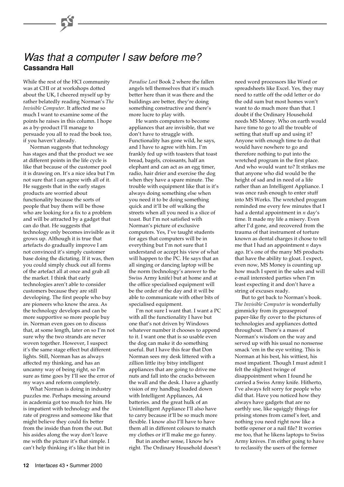# **Cassandra Hall** Was that a computer I saw before me?

While the rest of the HCI community was at CHI or at workshops dotted about the UK, I cheered myself up by rather belatedly reading Norman's *The Invisible Computer*. It affected me so much I want to examine some of the points he raises in this column. I hope as a by-product I'll manage to persuade you all to read the book too, if you haven't already.

Norman suggests that technology has stages and that the product we see at different points in the life cycle is like that because of the customer pool it is drawing on. It's a nice idea but I'm not sure that I can agree with all of it. He suggests that in the early stages products are worried about functionality because the sorts of people that buy them will be those who are looking for a fix to a problem and will be attracted by a gadget that can do that. He suggests that technology only becomes invisible as it grows up. Although it is true that artefacts do gradually improve I am not convinced it's simply customer base doing the dictating. If it was, then you could simply chuck out all forms of the artefact all at once and grab all the market. I think that early technologies aren't able to consider customers because they are still developing. The first people who buy are pioneers who know the area. As the technology develops and can be more supportive so more people buy in. Norman even goes on to discuss that, at some length, later on so I'm not sure why the two strands are never woven together. However, I suspect it's the same stage effect but different lights. Still, Norman has as always affected my thinking, and has an uncanny way of being right, so I'm sure as time goes by I'll see the error of my ways and reform completely.

What Norman is doing in industry puzzles me. Perhaps messing around in academia got too much for him. He is impatient with technology and the rate of progress and someone like that might believe they could fix better from the inside than from the out. But his asides along the way don't leave me with the picture it's that simple. I can't help thinking it's like that bit in

*Paradise Lost* Book 2 where the fallen angels tell themselves that it's much better here than it was there and the buildings are better, they're doing something constructive and there's more lucre to play with.

He wants computers to become appliances that are invisible, that we don't have to struggle with. Functionality has gone wild, he says, and I have to agree with him. I'm frankly fed up with toasters that toast bread, bagels, croissants, half an elephant and can act as an egg timer, radio, hair drier and exercise the dog when they have a spare minute. The trouble with equipment like that is it's always doing something else when you need it to be doing something quick and it'll be off walking the streets when all you need is a slice of toast. But I'm not satisfied with Norman's picture of exclusive computers. Yes, I've taught students for ages that computers will be in everything but I'm not sure that I understand or accept his view of what will happen to the PC. He says that an all singing or dancing laptop will be the norm (technology's answer to the Swiss Army knife) but at home and at the office specialised equipment will be the order of the day and it will be able to communicate with other bits of specialised equipment.

I'm not sure I want that. I want a PC with all the functionality I have but one that's not driven by Windows whatever number it chooses to append to it. I want one that is so usable even the dog can make it do something useful. But I have this fear that Don Norman sees my desk littered with a zillion little itsy bitsy intelligent appliances that are going to drive me nuts and fall into the cracks between the wall and the desk. I have a ghastly vision of my handbag loaded down with Intelligent Appliances, A4 batteries. and the great hulk of an Unintelligent Appliance I'll also have to carry because it'll be so much more flexible. I know also I'll have to have them all in different colours to match my clothes or it'll make me go funny.

But in another sense, I know he's right. The Ordinary Household doesn't

need word processors like Word or spreadsheets like Excel. Yes, they may need to rattle off the odd letter or do the odd sum but most homes won't want to do much more than that. I doubt if the Ordinary Household needs MS Money. Who on earth would have time to go to all the trouble of setting that stuff up and using it? Anyone with enough time to do that would have nowhere to go and therefore nothing to put into the wretched program in the first place. And who would want to? It strikes me that anyone who did would be the height of sad and in need of a life rather than an Intelligent Appliance. I was once rash enough to enter stuff into MS Works. The wretched program reminded me every few minutes that I had a dental appointment in *n* day's time. It made my life a misery. Even after I'd gone, and recovered from the trauma of that instrument of torture known as dental charges it chose to tell me that I had an appointment *n* days ago. It's one of the many MS products that have the ability to gloat. I expect, even now, MS Money is counting up how much I spent in the sales and will e-mail interested parties when I'm least expecting it and don't have a string of excuses ready.

But to get back to Norman's book. *The Invisible Computer* is wonderfully gimmicky from its greaseproof paper-like fly cover to the pictures of technologies and appliances dotted throughout. There's a mass of Norman's wisdom on the way and served up with his usual no nonsense smack 'em in the eye writing. This is Norman at his best, his wittiest, his most impatient. Though I must admit I felt the slightest twinge of disappointment when I found he carried a Swiss Army knife. Hitherto, I've always felt sorry for people who did that. Have you noticed how they always have gadgets that are no earthly use, like squiggly things for prising stones from camel's feet, and nothing you need right now like a bottle opener or a nail file? It worries me too, that he likens laptops to Swiss Army knives. I'm either going to have to reclassify the users of the former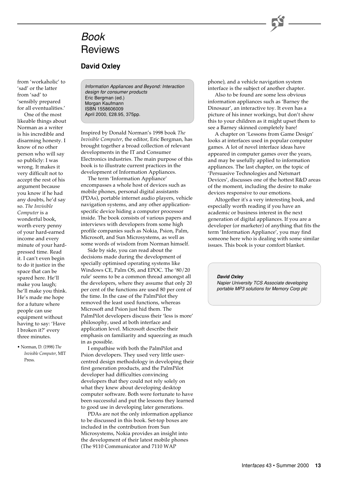# Book **Reviews**

# **David Oxley**

from 'workaholic' to 'sad' or the latter from 'sad' to 'sensibly prepared for all eventualities.'

One of the most likeable things about Norman as a writer is his incredible and disarming honesty. I know of no other person who will say so publicly: I was wrong. It makes it very difficult not to accept the rest of his argument because you know if he had any doubts, he'd say so. *The Invisible Computer* is a wonderful book, worth every penny of your hard-earned income and every minute of your hardpressed time. Read it. I can't even begin to do it justice in the space that can be spared here. He'll make you laugh; he'll make you think. He's made me hope for a future where people can use equipment without having to say: 'Have I broken it?' every three minutes.

• Norman, D. (1998) *The Invisible Computer*, MIT Press.

Information Appliances and Beyond: Interaction design for consumer products Eric Bergman (ed.) Morgan Kaufmann ISBN 1558606009 April 2000, £28.95, 375pp.

Inspired by Donald Norman's 1998 book *The Invisible Computer*, the editor, Eric Bergman, has brought together a broad collection of relevant developments in the IT and Consumer Electronics industries. The main purpose of this book is to illustrate current practices in the development of Information Appliances.

The term 'Information Appliance' encompasses a whole host of devices such as mobile phones, personal digital assistants (PDAs), portable internet audio players, vehicle navigation systems, and any other applicationspecific device hiding a computer processor inside. The book consists of various papers and interviews with developers from some high profile companies such as Nokia, Psion, Palm, Microsoft, and Sun Microsystems, as well as some words of wisdom from Norman himself.

Side by side, you can read about the decisions made during the development of specially optimised operating systems like Windows CE, Palm OS, and EPOC. The '80/20 rule' seems to be a common thread amongst all the developers, where they assume that only 20 per cent of the functions are used 80 per cent of the time. In the case of the PalmPilot they removed the least used functions, whereas Microsoft and Psion just hid them. The PalmPilot developers discuss their 'less is more' philosophy, used at both interface and application level. Microsoft describe their emphasis on familiarity and squeezing as much in as possible.

I empathise with both the PalmPilot and Psion developers. They used very little usercentred design methodology in developing their first generation products, and the PalmPilot developer had difficulties convincing developers that they could not rely solely on what they knew about developing desktop computer software. Both were fortunate to have been successful and put the lessons they learned to good use in developing later generations.

PDAs are not the only information appliance to be discussed in this book. Set-top boxes are included in the contribution from Sun Microsystems, Nokia provides an insight into the development of their latest mobile phones (The 9110 Communicator and 7110 WAP

phone), and a vehicle navigation system interface is the subject of another chapter.

Also to be found are some less obvious information appliances such as 'Barney the Dinosaur', an interactive toy. It even has a picture of his inner workings, but don't show this to your children as it might upset them to see a Barney skinned completely bare!

A chapter on 'Lessons from Game Design' looks at interfaces used in popular computer games. A lot of novel interface ideas have appeared in computer games over the years, and may be usefully applied to information appliances. The last chapter, on the topic of 'Persuasive Technologies and Netsmart Devices', discusses one of the hottest R&D areas of the moment, including the desire to make devices responsive to our emotions.

Altogether it's a very interesting book, and especially worth reading if you have an academic or business interest in the next generation of digital appliances. If you are a developer (or marketer) of anything that fits the term 'Information Appliance', you may find someone here who is dealing with some similar issues. This book is your comfort blanket.

**David Oxley**

Napier University TCS Associate developing portable MP3 solutions for Memory Corp plc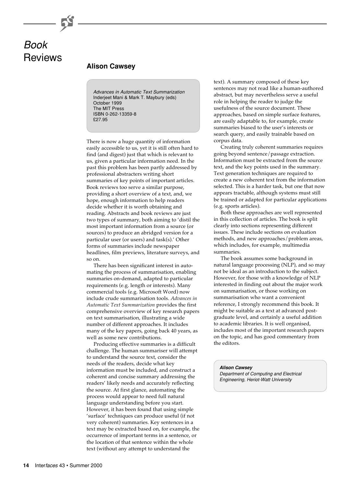# Book **Reviews**

# **Alison Cawsey**

Advances in Automatic Text Summarization Inderjeet Mani & Mark T. Maybury (eds) October 1999 The MIT Press ISBN 0-262-13359-8 £27.95

There is now a huge quantity of information easily accessible to us, yet it is still often hard to find (and digest) just that which is relevant to us, given a particular information need. In the past this problem has been partly addressed by professional abstracters writing short summaries of key points of important articles. Book reviews too serve a similar purpose, providing a short overview of a text, and, we hope, enough information to help readers decide whether it is worth obtaining and reading. Abstracts and book reviews are just two types of summary, both aiming to 'distil the most important information from a source (or sources) to produce an abridged version for a particular user (or users) and task(s).' Other forms of summaries include newspaper headlines, film previews, literature surveys, and so on.

There has been significant interest in automating the process of summarisation, enabling summaries on-demand, adapted to particular requirements (e.g. length or interests). Many commercial tools (e.g. Microsoft Word) now include crude summarisation tools. *Advances in Automatic Text Summarization* provides the first comprehensive overview of key research papers on text summarisation, illustrating a wide number of different approaches. It includes many of the key papers, going back 40 years, as well as some new contributions.

Producing effective summaries is a difficult challenge. The human summariser will attempt to understand the source text, consider the needs of the readers, decide what key information must be included, and construct a coherent and concise summary addressing the readers' likely needs and accurately reflecting the source. At first glance, automating the process would appear to need full natural language understanding before you start. However, it has been found that using simple 'surface' techniques can produce useful (if not very coherent) summaries. Key sentences in a text may be extracted based on, for example, the occurrence of important terms in a sentence, or the location of that sentence within the whole text (without any attempt to understand the

text). A summary composed of these key sentences may not read like a human-authored abstract, but may nevertheless serve a useful role in helping the reader to judge the usefulness of the source document. These approaches, based on simple surface features, are easily adaptable to, for example, create summaries biased to the user's interests or search query, and easily trainable based on corpus data.

Creating truly coherent summaries requires going beyond sentence/passage extraction. Information must be extracted from the source text, and the key points used in the summary. Text generation techniques are required to create a new coherent text from the information selected. This is a harder task, but one that now appears tractable, although systems must still be trained or adapted for particular applications (e.g. sports articles).

Both these approaches are well represented in this collection of articles. The book is split clearly into sections representing different issues. These include sections on evaluation methods, and new approaches/problem areas, which includes, for example, multimedia summaries.

The book assumes some background in natural language processing (NLP), and so may not be ideal as an introduction to the subject. However, for those with a knowledge of NLP interested in finding out about the major work on summarisation, or those working on summarisation who want a convenient reference, I strongly recommend this book. It might be suitable as a text at advanced postgraduate level, and certainly a useful addition to academic libraries. It is well organised, includes most of the important research papers on the topic, and has good commentary from the editors.

**Alison Cawsey** Department of Computing and Electrical Engineering, Heriot-Watt University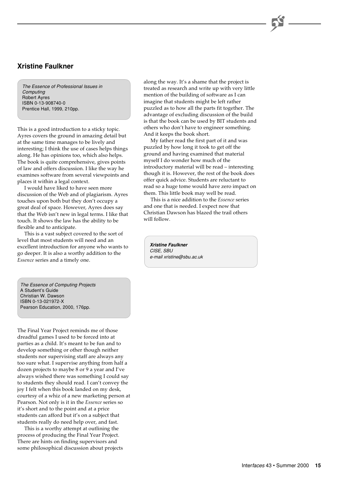# **Xristine Faulkner**

The Essence of Professional Issues in **Computing** Robert Ayres ISBN 0-13-908740-0 Prentice Hall, 1999, 210pp.

This is a good introduction to a sticky topic. Ayres covers the ground in amazing detail but at the same time manages to be lively and interesting; I think the use of cases helps things along. He has opinions too, which also helps. The book is quite comprehensive, gives points of law and offers discussion. I like the way he examines software from several viewpoints and places it within a legal context.

I would have liked to have seen more discussion of the Web and of plagiarism. Ayres touches upon both but they don't occupy a great deal of space. However, Ayres does say that the Web isn't new in legal terms. I like that touch. It shows the law has the ability to be flexible and to anticipate.

This is a vast subject covered to the sort of level that most students will need and an excellent introduction for anyone who wants to go deeper. It is also a worthy addition to the *Essence* series and a timely one.

The Essence of Computing Projects A Student's Guide Christian W. Dawson ISBN 0-13-021972-X Pearson Education, 2000, 176pp.

The Final Year Project reminds me of those dreadful games I used to be forced into at parties as a child. It's meant to be fun and to develop something or other though neither students nor supervising staff are always any too sure what. I supervise anything from half a dozen projects to maybe 8 or 9 a year and I've always wished there was something I could say to students they should read. I can't convey the joy I felt when this book landed on my desk, courtesy of a whiz of a new marketing person at Pearson. Not only is it in the *Essence* series so it's short and to the point and at a price students can afford but it's on a subject that students really do need help over, and fast.

This is a worthy attempt at outlining the process of producing the Final Year Project. There are hints on finding supervisors and some philosophical discussion about projects along the way. It's a shame that the project is treated as research and write up with very little mention of the building of software as I can imagine that students might be left rather puzzled as to how all the parts fit together. The advantage of excluding discussion of the build is that the book can be used by BIT students and others who don't have to engineer something. And it keeps the book short.

My father read the first part of it and was puzzled by how long it took to get off the ground and having examined that material myself I do wonder how much of the introductory material will be read – interesting though it is. However, the rest of the book does offer quick advice. Students are reluctant to read so a huge tome would have zero impact on them. This little book may well be read.

This is a nice addition to the *Essence* series and one that is needed. I expect now that Christian Dawson has blazed the trail others will follow.

**Xristine Faulkner** CISE, SBU e-mail xristine@sbu.ac.uk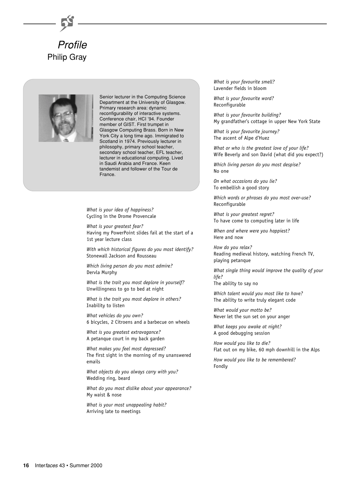



Senior lecturer in the Computing Science Department at the University of Glasgow. Primary research area: dynamic reconfigurability of interactive systems. Conference chair, HCI '94. Founder member of GIST. First trumpet in Glasgow Computing Brass. Born in New York City a long time ago. Immigrated to Scotland in 1974. Previously lecturer in philosophy, primary school teacher, secondary school teacher, EFL teacher, lecturer in educational computing. Lived in Saudi Arabia and France. Keen tandemist and follower of the Tour de France.

*What is your idea of happiness?* Cycling in the Drome Provencale

*What is your greatest fear?* Having my PowerPoint slides fail at the start of a 1st year lecture class

*With which historical figures do you most identify?* Stonewall Jackson and Rousseau

*Which living person do you most admire?* Dervla Murphy

*What is the trait you most deplore in yourself?* Unwillingness to go to bed at night

*What is the trait you most deplore in others?* Inability to listen

*What vehicles do you own?* 6 bicycles, 2 Citroens and a barbecue on wheels

*What is you greatest extravagance?* A petanque court in my back garden

*What makes you feel most depressed?* The first sight in the morning of my unanswered emails

*What objects do you always carry with you?* Wedding ring, beard

*What do you most dislike about your appearance?* My waist & nose

*What is your most unappealing habit?* Arriving late to meetings

*What is your favourite smell?* Lavender fields in bloom

*What is your favourite word?* Reconfigurable

*What is your favourite building?* My grandfather's cottage in upper New York State

*What is your favourite journey?* The ascent of Alpe d'Huez

*What or who is the greatest love of your life?* Wife Beverly and son David (what did you expect?)

*Which living person do you most despise?* No one

*On what occasions do you lie?* To embellish a good story

*Which words or phrases do you most over-use?* Reconfigurable

*What is your greatest regret?* To have come to computing later in life

*When and where were you happiest?* Here and now

*How do you relax?* Reading medieval history, watching French TV, playing petanque

*What single thing would improve the quality of your life?*

The ability to say no

*Which talent would you most like to have?* The ability to write truly elegant code

*What would your motto be?* Never let the sun set on your anger

*What keeps you awake at night?* A good debugging session

*How would you like to die?* Flat out on my bike, 60 mph downhill in the Alps

*How would you like to be remembered?* Fondly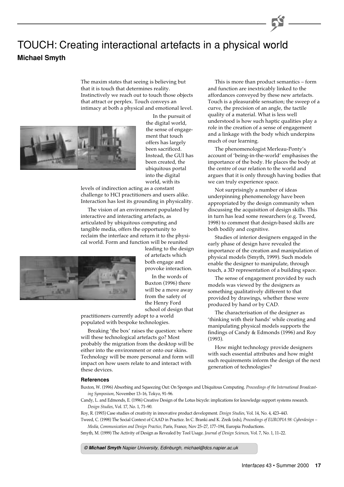# TOUCH: Creating interactional artefacts in a physical world **Michael Smyth**

The maxim states that seeing is believing but that it is touch that determines reality. Instinctively we reach out to touch those objects that attract or perplex. Touch conveys an intimacy at both a physical and emotional level.



In the pursuit of the digital world, the sense of engagement that touch offers has largely been sacrificed. Instead, the GUI has been created, the ubiquitous portal into the digital world, with its

levels of indirection acting as a constant challenge to HCI practitioners and users alike. Interaction has lost its grounding in physicality.

The vision of an environment populated by interactive and interacting artefacts, as articulated by ubiquitous computing and tangible media, offers the opportunity to reclaim the interface and return it to the physical world. Form and function will be reunited

> leading to the design of artefacts which both engage and provoke interaction.

In the words of Buxton (1996) there will be a move away from the safety of the Henry Ford school of design that

practitioners currently adopt to a world populated with bespoke technologies.

Breaking 'the box' raises the question: where will these technological artefacts go? Most probably the migration from the desktop will be either into the environment or onto our skins. Technology will be more personal and form will impact on how users relate to and interact with these devices.

This is more than product semantics – form and function are inextricably linked to the affordances conveyed by these new artefacts. Touch is a pleasurable sensation; the sweep of a curve, the precision of an angle, the tactile quality of a material. What is less well understood is how such haptic qualities play a role in the creation of a sense of engagement and a linkage with the body which underpins much of our learning.

The phenomenologist Merleau-Ponty's account of 'being-in-the-world' emphasises the importance of the body. He places the body at the centre of our relation to the world and argues that it is only through having bodies that we can truly experience space.

Not surprisingly a number of ideas underpinning phenomenology have been appropriated by the design community when discussing the acquisition of design skills. This in turn has lead some researchers (e.g. Tweed, 1998) to comment that design-based skills are both bodily and cognitive.

Studies of interior designers engaged in the early phase of design have revealed the importance of the creation and manipulation of physical models (Smyth, 1999). Such models enable the designer to manipulate, through touch, a 3D representation of a building space.

The sense of engagement provided by such models was viewed by the designers as something qualitatively different to that provided by drawings, whether these were produced by hand or by CAD.

The characterisation of the designer as 'thinking with their hands' while creating and manipulating physical models supports the findings of Candy & Edmonds (1996) and Roy (1993).

How might technology provide designers with such essential attributes and how might such requirements inform the design of the next generation of technologies?

#### **References**

Buxton, W. (1996) Absorbing and Squeezing Out: On Sponges and Ubiquitous Computing. *Proceedings of the International Broadcasting Symposium*, November 13–16, Tokyo, 91–96.

Candy, L. and Edmonds, E. (1996) Creative Design of the Lotus bicycle: implications for knowledge support systems research. *Design Studies*, Vol. 17, No. 1, 71–90.

Roy, R. (1993) Case studies of creativity in innovative product development. *Design Studies*, Vol. 14, No. 4, 423–443.

Tweed, C. (1998) The Social Context of CAAD in Practice. In C. Branki and K. Zreik (eds), *Proceedings of EUROPIA 98: Cyberdesign – Media, Communication and Design Practice*, Paris, France, Nov 25–27, 177–194, Europia Productions.

Smyth, M. (1999) The Activity of Design as Revealed by Tool Usage. *Journal of Design Sciences*, Vol. 7, No. 1, 11–22.

**© Michael Smyth** Napier University, Edinburgh, michael@dcs.napier.ac.uk

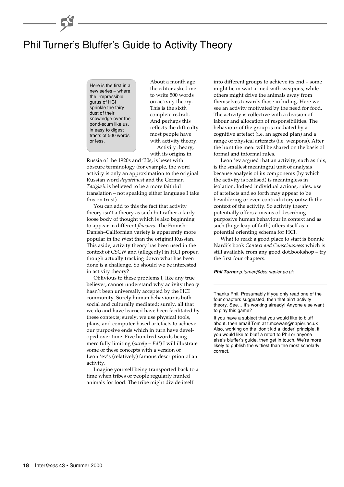# Phil Turner's Bluffer's Guide to Activity Theory

Here is the first in a new series – where the irrepressible gurus of HCI sprinkle the fairy dust of their knowledge over the pond-scum like us, in easy to digest tracts of 500 words or less.

About a month ago the editor asked me to write 500 words on activity theory. This is the sixth complete redraft. And perhaps this reflects the difficulty most people have with activity theory. Activity theory, with its origins in

Russia of the 1920s and '30s, is beset with obscure terminology (for example, the word activity is only an approximation to the original Russian word *deyatelnost* and the German *Tätigkeit* is believed to be a more faithful translation – not speaking either language I take this on trust).

You can add to this the fact that activity theory isn't a theory as such but rather a fairly loose body of thought which is also beginning to appear in different *flavours*. The Finnish– Danish–Californian variety is apparently more popular in the West than the original Russian. This aside, activity theory has been used in the context of CSCW and (allegedly) in HCI proper, though actually tracking down what has been done is a challenge. So should we be interested in activity theory?

Oblivious to these problems I, like any true believer, cannot understand why activity theory hasn't been universally accepted by the HCI community. Surely human behaviour is both social and culturally mediated; surely, all that we do and have learned have been facilitated by these contexts; surely, we use physical tools, plans, and computer-based artefacts to achieve our purposive ends which in turn have developed over time. Five hundred words being mercifully limiting (*surely – Ed!*) I will illustrate some of these concepts with a version of Leont'ev's (relatively) famous description of an activity.

Imagine yourself being transported back to a time when tribes of people regularly hunted animals for food. The tribe might divide itself

into different groups to achieve its end – some might lie in wait armed with weapons, while others might drive the animals away from themselves towards those in hiding. Here we see an activity motivated by the need for food. The activity is collective with a division of labour and allocation of responsibilities. The behaviour of the group is mediated by a cognitive artefact (i.e. an agreed plan) and a range of physical artefacts (i.e. weapons). After the hunt the meat will be shared on the basis of formal and informal rules.

Leont'ev argued that an activity, such as this, is the smallest meaningful unit of analysis because analysis of its components (by which the activity is realised) is meaningless in isolation. Indeed individual actions, rules, use of artefacts and so forth may appear to be bewildering or even contradictory outwith the context of the activity. So activity theory potentially offers a means of describing purposive human behaviour in context and as such (huge leap of faith) offers itself as a potential orienting schema for HCI.

What to read: a good place to start is Bonnie Nardi's book *Context and Consciousness* which is still available from any good dot.bookshop – try the first four chapters.

#### **Phil Turner** p.turner@dcs.napier.ac.uk

Thanks Phil. Presumably if you only read one of the four chapters suggested, then that ain't activity theory. See… it's working already! Anyone else want to play this game?

If you have a subject that you would like to bluff about, then email Tom at t.mcewan@napier.ac.uk Also, working on the 'don't kid a kidder' principle, if you would like to bluff a retort to Phil or anyone else's bluffer's guide, then get in touch. We're more likely to publish the wittiest than the most scholarly correct.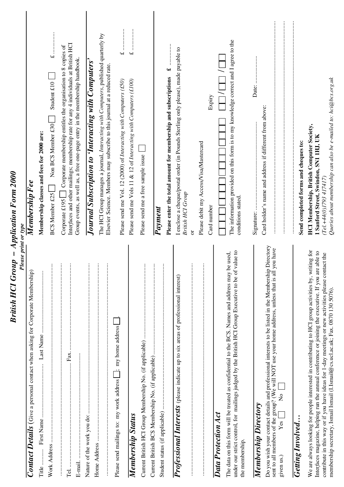| British HCI Group – Application Form 2000<br>Please print or type                                                                                                                                                                                                                                                                                                                                        |                                                                                                                                                                                                                                                           |
|----------------------------------------------------------------------------------------------------------------------------------------------------------------------------------------------------------------------------------------------------------------------------------------------------------------------------------------------------------------------------------------------------------|-----------------------------------------------------------------------------------------------------------------------------------------------------------------------------------------------------------------------------------------------------------|
| Contact Details (Give a personal contact when asking for Corporate Membership)                                                                                                                                                                                                                                                                                                                           | Membership F ee                                                                                                                                                                                                                                           |
| Title                                                                                                                                                                                                                                                                                                                                                                                                    | Membership classes and fees for 2000 are:                                                                                                                                                                                                                 |
| $\vdots$                                                                                                                                                                                                                                                                                                                                                                                                 | Student $£10$<br>Non BCS Member £30<br><b>BCS Member £25</b>                                                                                                                                                                                              |
| $\vdots$<br>$\vdots$<br>Fax.<br>Tel                                                                                                                                                                                                                                                                                                                                                                      | Interfaces and other mailings; membership rate for any 4 individuals at British HCI<br>Corporate £195 $\Box$ Corporate membership entitles the organisation to 8 copies of<br>Group events, as well as, a free one-page entry in the membership handbook. |
| $\vdots$<br>Nature of the work you do:                                                                                                                                                                                                                                                                                                                                                                   | Journal Subscription to 'Interacting with Computers'                                                                                                                                                                                                      |
|                                                                                                                                                                                                                                                                                                                                                                                                          | The HCI Group manages a journal, Interacting with Computers, published quarterly by<br>Elsevier Science. Members may subscribe to this journal at a reduced rate.                                                                                         |
| Please send mailings to: my work address [__; my home address                                                                                                                                                                                                                                                                                                                                            | Please send me Vol. 12 (2000) of Interacting with Computers (£50)                                                                                                                                                                                         |
| Membership Status                                                                                                                                                                                                                                                                                                                                                                                        | $\overline{f}$<br>Please send me Vols 11 & 12 of Interacting with Computers (£100)                                                                                                                                                                        |
| $\vdots$                                                                                                                                                                                                                                                                                                                                                                                                 | Please send me a free sample issue                                                                                                                                                                                                                        |
| $\vdots$<br>::::::::::::                                                                                                                                                                                                                                                                                                                                                                                 |                                                                                                                                                                                                                                                           |
|                                                                                                                                                                                                                                                                                                                                                                                                          | $\ddot{\bullet}$<br>Please enter the total amount for membership and subscriptions<br>Payment                                                                                                                                                             |
| $\vdots$<br><b>Professional Interests</b> (please indicate up to six areas of professional interest)                                                                                                                                                                                                                                                                                                     | I enclose a cheque/postal order (in Pounds Sterling only please), made payable to<br>British HCI Group                                                                                                                                                    |
| $\vdots$                                                                                                                                                                                                                                                                                                                                                                                                 | Please debit my Access/Visa/Mastercard<br>$\overline{\sigma}$                                                                                                                                                                                             |
| Data Protection Act                                                                                                                                                                                                                                                                                                                                                                                      | Expiry<br>Card number                                                                                                                                                                                                                                     |
| under our strict control, for mailings judged by the British HCl Group Executive to be of value to<br>The data on this form will be treated as confidential to the BCS. Names and address may be used,<br>the membership.                                                                                                                                                                                | The information provided on this form is to my knowledge correct and I agree to the<br>conditions stated.                                                                                                                                                 |
| Membership Directory                                                                                                                                                                                                                                                                                                                                                                                     |                                                                                                                                                                                                                                                           |
| Directory<br>sent to all members of the group? (We will NOT use your home address, unless that is all you have<br>Do you wish your contact details and professional interests to be listed in the Membership<br>$\overline{R}$<br>Yes<br>given us.)                                                                                                                                                      | Card holder's name and address if different from above:                                                                                                                                                                                                   |
| <b>Getting Involved</b>                                                                                                                                                                                                                                                                                                                                                                                  | Send completed forms and cheques to:                                                                                                                                                                                                                      |
| We are always looking for people interested in contributing to HCI group activities by, writing for<br>able to<br>contribute in this way or if you have ideas for 1-day meetings or new activities please contact the<br>Interfaces magazine, helping run the annual conference or joining the executive. If you are<br>membership secretary, Ismail Ismail (I.Ismail@cs.ucl.ac.uk; Fax. 0870 130 5076). | Queries about membership can also be e-mailed to: hci@bcs.org.uk<br><b>HCI Membership, British Computer Society,</b><br>1 Sanford Street, Swindon, SN1 1HJ, UK<br>(Tel.+44(0)1793 417417)                                                                 |